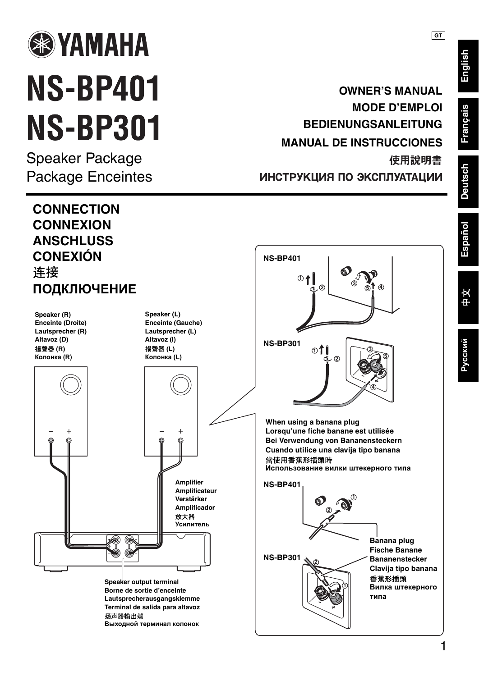

## **NS-BP401 NS-BP301**

Speaker Package Package Enceintes

## **OWNER'S MANUAL MODE D'EMPLOI BEDIENUNGSANLEITUNG MANUAL DE INSTRUCCIONES** 使用說明書

ИНСТРУКЦИЯ ПО ЭКСПЛУАТАЦИИ



**English**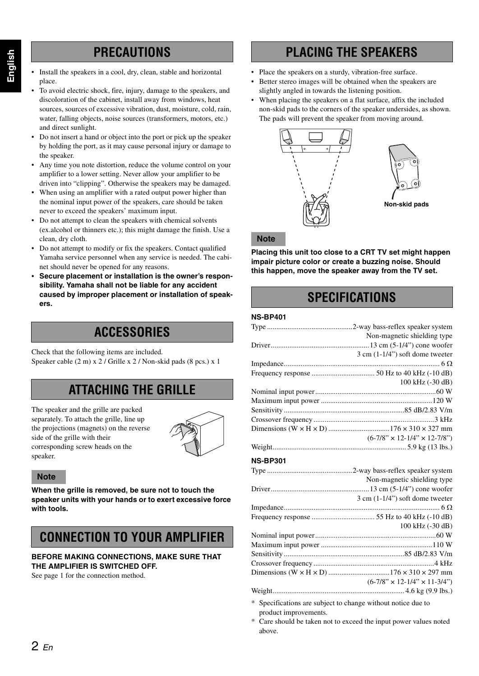## **PRECAUTIONS**

- Install the speakers in a cool, dry, clean, stable and horizontal place.
- To avoid electric shock, fire, injury, damage to the speakers, and discoloration of the cabinet, install away from windows, heat sources, sources of excessive vibration, dust, moisture, cold, rain, water, falling objects, noise sources (transformers, motors, etc.) and direct sunlight.
- Do not insert a hand or object into the port or pick up the speaker by holding the port, as it may cause personal injury or damage to the speaker.
- Any time you note distortion, reduce the volume control on your amplifier to a lower setting. Never allow your amplifier to be driven into "clipping". Otherwise the speakers may be damaged.
- When using an amplifier with a rated output power higher than the nominal input power of the speakers, care should be taken never to exceed the speakers' maximum input.
- Do not attempt to clean the speakers with chemical solvents (ex.alcohol or thinners etc.); this might damage the finish. Use a clean, dry cloth.
- Do not attempt to modify or fix the speakers. Contact qualified Yamaha service personnel when any service is needed. The cabinet should never be opened for any reasons.
- **• Secure placement or installation is the owner's responsibility. Yamaha shall not be liable for any accident caused by improper placement or installation of speakers.**

## **ACCESSORIES**

Check that the following items are included. Speaker cable (2 m) x 2 / Grille x 2 / Non-skid pads (8 pcs.) x 1

## **ATTACHING THE GRILLE**

The speaker and the grille are packed separately. To attach the grille, line up the projections (magnets) on the reverse side of the grille with their corresponding screw heads on the speaker.



#### **Note**

**When the grille is removed, be sure not to touch the speaker units with your hands or to exert excessive force with tools.** 

## **CONNECTION TO YOUR AMPLIFIER**

#### **BEFORE MAKING CONNECTIONS, MAKE SURE THAT THE AMPLIFIER IS SWITCHED OFF.**

See page 1 for the connection method.

## **PLACING THE SPEAKERS**

- Place the speakers on a sturdy, vibration-free surface.
- Better stereo images will be obtained when the speakers are slightly angled in towards the listening position.
- When placing the speakers on a flat surface, affix the included non-skid pads to the corners of the speaker undersides, as shown. The pads will prevent the speaker from moving around.





#### **Note**

**Placing this unit too close to a CRT TV set might happen impair picture color or create a buzzing noise. Should this happen, move the speaker away from the TV set.** 

## **SPECIFICATIONS**

#### **NS-BP401**

| Non-magnetic shielding type               |
|-------------------------------------------|
|                                           |
| $3 \text{ cm } (1-1/4)$ soft dome tweeter |
|                                           |
|                                           |
| 100 kHz (-30 dB)                          |
|                                           |
|                                           |
|                                           |
|                                           |
|                                           |
| $(6-7/8" \times 12-1/4" \times 12-7/8")$  |
|                                           |
|                                           |

#### **NS-BP301**

| Non-magnetic shielding type               |
|-------------------------------------------|
|                                           |
| $3 \text{ cm } (1-1/4)$ soft dome tweeter |
|                                           |
|                                           |
| 100 kHz (-30 dB)                          |
|                                           |
|                                           |
|                                           |
|                                           |
|                                           |
| $(6-7/8" \times 12-1/4" \times 11-3/4")$  |
|                                           |
|                                           |

- \* Specifications are subject to change without notice due to product improvements.
- Care should be taken not to exceed the input power values noted above.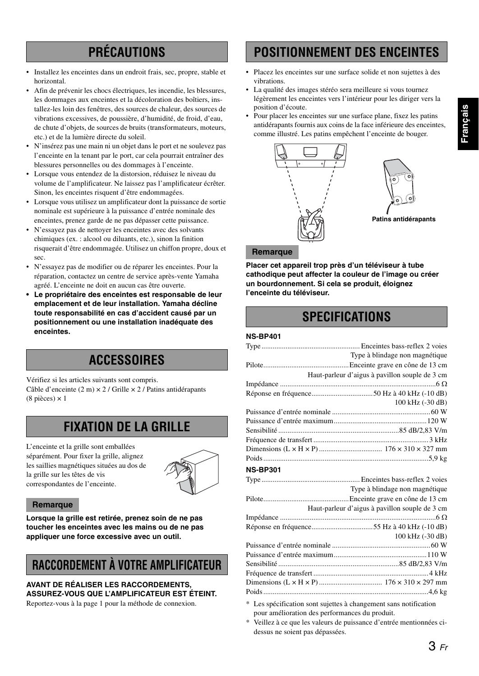# **Franc¸ ais**

## **PRÉCAUTIONS**

- Installez les enceintes dans un endroit frais, sec, propre, stable et horizontal.
- Afin de prévenir les chocs électriques, les incendie, les blessures, les dommages aux enceintes et la décoloration des boîtiers, installez-les loin des fenêtres, des sources de chaleur, des sources de vibrations excessives, de poussière, d'humidité, de froid, d'eau, de chute d'objets, de sources de bruits (transformateurs, moteurs, etc.) et de la lumière directe du soleil.
- N'insérez pas une main ni un objet dans le port et ne soulevez pas l'enceinte en la tenant par le port, car cela pourrait entraîner des blessures personnelles ou des dommages à l'enceinte.
- Lorsque vous entendez de la distorsion, réduisez le niveau du volume de l'amplificateur. Ne laissez pas l'amplificateur écrêter. Sinon, les enceintes risquent d'être endommagées.
- Lorsque vous utilisez un amplificateur dont la puissance de sortie nominale est supérieure à la puissance d'entrée nominale des enceintes, prenez garde de ne pas dépasser cette puissance.
- N'essayez pas de nettoyer les enceintes avec des solvants chimiques (ex. : alcool ou diluants, etc.), sinon la finition risquerait d'être endommagée. Utilisez un chiffon propre, doux et sec.
- N'essayez pas de modifier ou de réparer les enceintes. Pour la réparation, contactez un centre de service après-vente Yamaha agréé. L'enceinte ne doit en aucun cas être ouverte.
- **Le propriétaire des enceintes est responsable de leur emplacement et de leur installation. Yamaha décline toute responsabilité en cas d'accident causé par un positionnement ou une installation inadéquate des enceintes.**

## **ACCESSOIRES**

Vérifiez si les articles suivants sont compris. Câble d'enceinte (2 m) × 2 / Grille × 2 / Patins antidérapants  $(8 \text{ pieces}) \times 1$ 

## **FIXATION DE LA GRILLE**

L'enceinte et la grille sont emballées séparément. Pour fixer la grille, alignez les saillies magnétiques situées au dos de la grille sur les têtes de vis correspondantes de l'enceinte.



#### **Remarque**

**Lorsque la grille est retirée, prenez soin de ne pas toucher les enceintes avec les mains ou de ne pas appliquer une force excessive avec un outil.**

## **RACCORDEMENT À VOTRE AMPLIFICATEUR**

**AVANT DE RÉALISER LES RACCORDEMENTS, ASSUREZ-VOUS QUE L'AMPLIFICATEUR EST ÉTEINT.**

Reportez-vous à la page 1 pour la méthode de connexion.

## **POSITIONNEMENT DES ENCEINTES**

- Placez les enceintes sur une surface solide et non sujettes à des vibrations.
- La qualité des images stéréo sera meilleure si vous tournez légèrement les enceintes vers l'intérieur pour les diriger vers la position d'écoute.
- Pour placer les enceintes sur une surface plane, fixez les patins antidérapants fournis aux coins de la face inférieure des enceintes, comme illustré. Les patins empêchent l'enceinte de bouger.





**Patins antidérapants**

#### **Remarque**

**Placer cet appareil trop près d'un téléviseur à tube cathodique peut affecter la couleur de l'image ou créer un bourdonnement. Si cela se produit, éloignez l'enceinte du téléviseur.**

## **SPECIFICATIONS**

#### **NS-BP401**

| Type à blindage non magnétique                 |
|------------------------------------------------|
|                                                |
| Haut-parleur d'aigus à pavillon souple de 3 cm |
|                                                |
|                                                |
| 100 kHz (-30 dB)                               |
|                                                |
|                                                |
|                                                |
|                                                |
|                                                |
|                                                |
| <b>NS-BP301</b>                                |
|                                                |
|                                                |
| Type à blindage non magnétique                 |
|                                                |
| Haut-parleur d'aigus à pavillon souple de 3 cm |
|                                                |
|                                                |
| 100 kHz (-30 dB)                               |
|                                                |
|                                                |
|                                                |
|                                                |
|                                                |
|                                                |

pour amélioration des performances du produit.

Veillez à ce que les valeurs de puissance d'entrée mentionnées cidessus ne soient pas dépassées.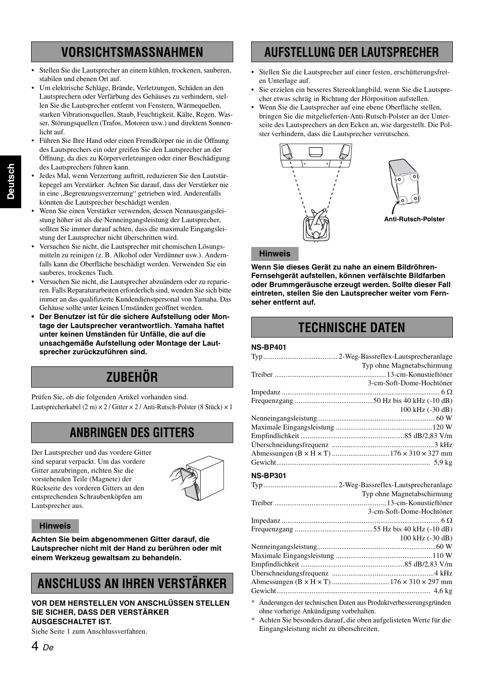## **VORSICHTSMASSNAHMEN**

- Stellen Sie die Lautsprecher an einem kühlen, trockenen, sauberen, stabilen und ebenen Ort auf.
- Um elektrische Schläge, Brände, Verletzungen, Schäden an den Lautsprechern oder Verfärbung des Gehäuses zu verhindern, stellen Sie die Lautsprecher entfernt von Fenstern, Wärmequellen, starken Vibrationsquellen, Staub, Feuchtigkeit, Kälte, Regen, Wasser, Störungsquellen (Trafos, Motoren usw.) und direktem Sonnenlicht auf.
- Führen Sie Ihre Hand oder einen Fremdkörper nie in die Öffnung des Lautsprechers ein oder greifen Sie den Lautsprecher an der Öffnung, da dies zu Körperverletzungen oder einer Beschädigung des Lautsprechers führen kann.
- Jedes Mal, wenn Verzerrung auftritt, reduzieren Sie den Lautstärkepegel am Verstärker. Achten Sie darauf, dass der Verstärker nie in eine "Begrenzungsverzerrung" getrieben wird. Anderenfalls könnten die Lautsprecher beschädigt werden.
- Wenn Sie einen Verstärker verwenden, dessen Nennausgangsleistung höher ist als die Nenneingangsleistung der Lautsprecher, sollten Sie immer darauf achten, dass die maximale Eingangsleistung der Lautsprecher nicht überschritten wird.
- Versuchen Sie nicht, die Lautsprecher mit chemischen Lösungsmitteln zu reinigen (z. B. Alkohol oder Verdünner usw.). Andernfalls kann die Oberfläche beschädigt werden. Verwenden Sie ein sauberes, trockenes Tuch.
- Versuchen Sie nicht, die Lautsprecher abzuändern oder zu reparieren. Falls Reparaturarbeiten erforderlich sind, wenden Sie sich bitte immer an das qualifizierte Kundendienstpersonal von Yamaha. Das Gehäuse sollte unter keinen Umständen geöffnet werden.
- **Der Benutzer ist für die sichere Aufstellung oder Montage der Lautsprecher verantwortlich. Yamaha haftet unter keinen Umständen für Unfälle, die auf die unsachgemäße Aufstellung oder Montage der Lautsprecher zurückzuführen sind.**

## **ZUBEHÖR**

Prüfen Sie, ob die folgenden Artikel vorhanden sind. Lautsprecherkabel (2 m) × 2 / Gitter × 2 / Anti-Rutsch-Polster (8 Stück) × 1

## **ANBRINGEN DES GITTERS**

Der Lautsprecher und das vordere Gitter sind separat verpackt. Um das vordere Gitter anzubringen, richten Sie die vorstehenden Teile (Magnete) der Rückseite des vorderen Gitters an den entsprechenden Schraubenköpfen am Lautsprecher aus.



#### **Hinweis**

**Achten Sie beim abgenommenen Gitter darauf, die Lautsprecher nicht mit der Hand zu berühren oder mit einem Werkzeug gewaltsam zu behandeln.**

## **ANSCHLUSS AN IHREN VERSTÄRKER**

#### **VOR DEM HERSTELLEN VON ANSCHLÜSSEN STELLEN SIE SICHER, DASS DER VERSTÄRKER AUSGESCHALTET IST.**

Siehe Seite 1 zum Anschlussverfahren.

## **AUFSTELLUNG DER LAUTSPRECHER**

- Stellen Sie die Lautsprecher auf einer festen, erschütterungsfreien Unterlage auf.
- Sie erzielen ein besseres Stereoklangbild, wenn Sie die Lautsprecher etwas schräg in Richtung der Hörposition aufstellen.
- Wenn Sie die Lautsprecher auf eine ebene Oberfläche stellen, bringen Sie die mitgelieferten-Anti-Rutsch-Polster an der Unterseite des Lautsprechers an den Ecken an, wie dargestellt. Die Polster verhindern, dass die Lautsprecher verrutschen.





#### **Anti-Rutsch-Polster**

#### **Hinweis**

**Wenn Sie dieses Gerät zu nahe an einem Bildröhren-Fernsehgerät aufstellen, können verfälschte Bildfarben oder Brummgeräusche erzeugt werden. Sollte dieser Fall eintreten, stellen Sie den Lautsprecher weiter vom Fernseher entfernt auf.**

## **TECHNISCHE DATEN**

#### **NS-BP401**

| Typ ohne Magnetabschirmung |
|----------------------------|
|                            |
| 3-cm-Soft-Dome-Hochtöner   |
|                            |
|                            |
| 100 kHz (-30 dB)           |
|                            |
|                            |
|                            |
|                            |
|                            |
|                            |
|                            |

#### **NS-BP301**

|                                                                    | Typ ohne Magnetabschirmung |
|--------------------------------------------------------------------|----------------------------|
|                                                                    |                            |
|                                                                    | 3-cm-Soft-Dome-Hochtöner   |
|                                                                    |                            |
|                                                                    |                            |
|                                                                    | 100 kHz (-30 dB)           |
|                                                                    |                            |
|                                                                    |                            |
|                                                                    |                            |
|                                                                    |                            |
|                                                                    |                            |
|                                                                    |                            |
| * Änderungen der technischen Daten aus Produktverbesserungsgründen |                            |

- ohne vorherige Ankündigung vorbehalten.
- \* Achten Sie besonders darauf, die oben aufgelisteten Werte für die Eingangsleistung nicht zu überschreiten.

**Deutsch**

4 *De*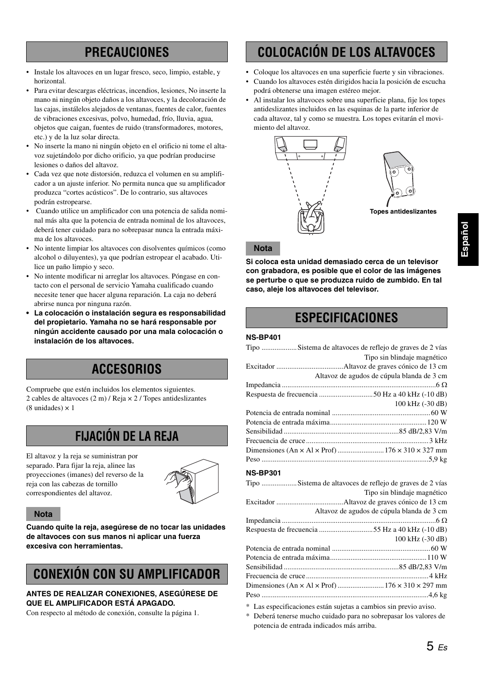## **PRECAUCIONES**

- Instale los altavoces en un lugar fresco, seco, limpio, estable, y horizontal.
- Para evitar descargas eléctricas, incendios, lesiones, No inserte la mano ni ningún objeto daños a los altavoces, y la decoloración de las cajas, instálelos alejados de ventanas, fuentes de calor, fuentes de vibraciones excesivas, polvo, humedad, frío, lluvia, agua, objetos que caigan, fuentes de ruido (transformadores, motores, etc.) y de la luz solar directa.
- No inserte la mano ni ningún objeto en el orificio ni tome el altavoz sujetándolo por dicho orificio, ya que podrían producirse lesiones o daños del altavoz.
- Cada vez que note distorsión, reduzca el volumen en su amplificador a un ajuste inferior. No permita nunca que su amplificador produzca "cortes acústicos". De lo contrario, sus altavoces podrán estropearse.
- Cuando utilice un amplificador con una potencia de salida nominal más alta que la potencia de entrada nominal de los altavoces, deberá tener cuidado para no sobrepasar nunca la entrada máxima de los altavoces.
- No intente limpiar los altavoces con disolventes químicos (como alcohol o diluyentes), ya que podrían estropear el acabado. Utilice un paño limpio y seco.
- No intente modificar ni arreglar los altavoces. Póngase en contacto con el personal de servicio Yamaha cualificado cuando necesite tener que hacer alguna reparación. La caja no deberá abrirse nunca por ninguna razón.
- **La colocación o instalación segura es responsabilidad del propietario. Yamaha no se hará responsable por ningún accidente causado por una mala colocación o instalación de los altavoces.**

## **ACCESORIOS**

Compruebe que estén incluidos los elementos siguientes. 2 cables de altavoces (2 m) / Reja × 2 / Topes antideslizantes  $(8 \text{ unidades}) \times 1$ 

## **FIJACIÓN DE LA REJA**

El altavoz y la reja se suministran por separado. Para fijar la reja, alinee las proyecciones (imanes) del reverso de la reja con las cabezas de tornillo correspondientes del altavoz.



#### **Nota**

**Cuando quite la reja, asegúrese de no tocar las unidades de altavoces con sus manos ni aplicar una fuerza excesiva con herramientas.**

## **CONEXIÓN CON SU AMPLIFICADOR**

#### **ANTES DE REALIZAR CONEXIONES, ASEGÚRESE DE QUE EL AMPLIFICADOR ESTÁ APAGADO.**

Con respecto al método de conexión, consulte la página 1.

## **COLOCACIÓN DE LOS ALTAVOCES**

- Coloque los altavoces en una superficie fuerte y sin vibraciones.
- Cuando los altavoces estén dirigidos hacia la posición de escucha podrá obtenerse una imagen estéreo mejor.
- Al instalar los altavoces sobre una superficie plana, fije los topes antideslizantes incluidos en las esquinas de la parte inferior de cada altavoz, tal y como se muestra. Los topes evitarán el movimiento del altavoz.





**Topes antideslizantes**

#### **Nota**

**Si coloca esta unidad demasiado cerca de un televisor con grabadora, es posible que el color de las imágenes se perturbe o que se produzca ruido de zumbido. En tal caso, aleje los altavoces del televisor.**

## **ESPECIFICACIONES**

#### **NS-BP401**

#### Tipo ...................Sistema de altavoces de reflejo de graves de 2 vías Tipo sin blindaje magnético Excitador ....................................Altavoz de graves cónico de 13 cm Altavoz de agudos de cúpula blanda de 3 cm Impedancia ...................................................................................6 Ω Respuesta de frecuencia .............................50 Hz a 40 kHz (-10 dB) 100 kHz (-30 dB) Potencia de entrada nominal .....................................................60 W Potencia de entrada máxima....................................................120 W Sensibilidad ..............................................................85 dB/2,83 V/m Frecuencia de cruce..................................................................3 kHz Dimensiones (An × Al × Prof) .........................176 × 310 × 327 mm Peso ..........................................................................................5,9 kg

#### **NS-BP301**

|                                                 | Tipo sin blindaje magnético                |
|-------------------------------------------------|--------------------------------------------|
|                                                 |                                            |
|                                                 | Altavoz de agudos de cúpula blanda de 3 cm |
|                                                 |                                            |
| Respuesta de frecuencia 55 Hz a 40 kHz (-10 dB) |                                            |
|                                                 | 100 kHz (-30 dB)                           |
|                                                 |                                            |
|                                                 |                                            |
|                                                 |                                            |
|                                                 |                                            |
|                                                 |                                            |
|                                                 |                                            |
|                                                 |                                            |

\* Las especificaciones están sujetas a cambios sin previo aviso.

\* Deberá tenerse mucho cuidado para no sobrepasar los valores de potencia de entrada indicados más arriba.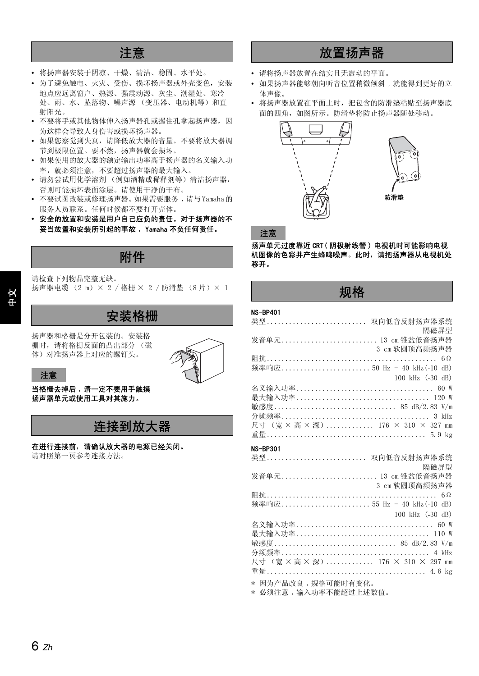## 注意

- 将扬声器安装于阴凉、干燥、清洁、稳固、水平处。
- 为了避免触电、火灾、受伤、损坏扬声器或外壳变色,安装 地点应远离窗户、热源、强震动源、灰尘、潮湿处、寒冷 处、雨、水、坠落物、噪声源 (变压器、电动机等)和直 射阳光。
- 不要将手或其他物体伸入扬声器孔或握住孔拿起扬声器,因 为这样会导致人身伤害或损坏扬声器。
- 如果您察觉到失真,请降低放大器的音量。不要将放大器调 节到极限位置。要不然,扬声器就会损坏。
- 如果使用的放大器的额定输出功率高于扬声器的名义输入功 率,就必须注意,不要超过扬声器的最大输入。
- 请勿尝试用化学溶剂 (例如酒精或稀释剂等)清洁扬声器, 否则可能损坏表面涂层。请使用干净的干布。
- 不要试图改装或修理扬声器。如果需要服务,请与 Yamaha 的 服务人员联系。任何时候都不要打开壳体。
- **•** 安全的放置和安装是用户自己应负的责任。对于扬声器的不 妥当放置和安装所引起的事故﹐ Yamaha 不负任何责任。

## 附件

请检查下列物品完整无缺。 扬声器电缆 (2 m) × 2 / 格栅 × 2 / 防滑垫 (8片) × 1

## 安装格栅

扬声器和格栅是分开包装的。安装格 栅时,请将格栅反面的凸出部分 (磁 体)对准扬声器上对应的螺钉头。



注意

#### 当格栅去掉后﹐请一定不要用手触摸 扬声器单元或使用工具对其施力。

## 连接到放大器

在进行连接前,请确认放大器的电源已经关闭。 请对照第一页参考连接方法。

## 放置扬声器

- 请将扬声器放置在结实且无震动的平面。
- 如果扬声器能够朝向听音位置稍微倾斜﹐就能得到更好的立 体声像。
- 将扬声器放置在平面上时,把包含的防滑垫粘贴至扬声器底 面的四角,如图所示。防滑垫将防止扬声器随处移动。



#### 注意

扬声单元过度靠近 CRT( 阴极射线管 ) 电视机时可能影响电视 机图像的色彩并产生蜂鸣噪声。此时,请把扬声器从电视机处 移开。

## 规格

#### NS-BP401

| 类型 双向低音反射扬声器系统                    |
|-----------------------------------|
| 隔磁屏型                              |
| 发音单元 13 cm 锥盆低音扬声器                |
| 3 cm 软圆顶高频扬声器                     |
|                                   |
| 频率响应 50 Hz - 40 kHz (-10 dB)      |
| 100 kHz (-30 dB)                  |
|                                   |
|                                   |
| 敏感度 85 dB/2.83 V/m                |
|                                   |
| 尺寸 (宽 × 高 × 深) 176 × 310 × 327 mm |
|                                   |

#### NS-BP301

| 类型 双向低音反射扬声器系统                                                                                                                                                                                                               |  |
|------------------------------------------------------------------------------------------------------------------------------------------------------------------------------------------------------------------------------|--|
|                                                                                                                                                                                                                              |  |
| 隔磁屏型                                                                                                                                                                                                                         |  |
| 发音单元 13 cm 锥盆低音扬声器                                                                                                                                                                                                           |  |
| 3 cm 软圆顶高频扬声器                                                                                                                                                                                                                |  |
|                                                                                                                                                                                                                              |  |
| 频率响应 55 Hz - 40 kHz (-10 dB)                                                                                                                                                                                                 |  |
| 100 kHz (-30 dB)                                                                                                                                                                                                             |  |
|                                                                                                                                                                                                                              |  |
|                                                                                                                                                                                                                              |  |
| 敏感度 85 dB/2.83 V/m                                                                                                                                                                                                           |  |
|                                                                                                                                                                                                                              |  |
| 尺寸 (宽 × 高 × 深) 176 × 310 × 297 mm                                                                                                                                                                                            |  |
|                                                                                                                                                                                                                              |  |
| 1000 - 1000 - 1000 - 1000 - 1000 - 1000 - 1000 - 1000 - 1000 - 1000 - 1000 - 1000 - 1000 - 1000 - 1000 - 1000 - 1000 - 1000 - 1000 - 1000 - 1000 - 1000 - 1000 - 1000 - 1000 - 1000 - 1000 - 1000 - 1000 - 1000 - 1000 - 100 |  |

\* 因为产品改良﹐规格可能时有变化。

\* 必须注意﹐输入功率不能超过上述数值。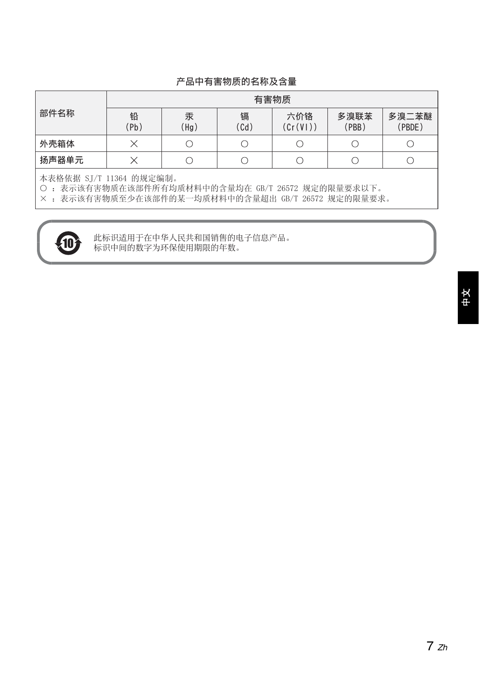### 产品中有害物质的名称及含量

|       | 有害物质      |           |                                      |                |               |                 |
|-------|-----------|-----------|--------------------------------------|----------------|---------------|-----------------|
| 部件名称  | 铅<br>(Pb) | 汞<br>'Hg) | 镉<br>$\overline{C}$ d $\overline{C}$ | 六价铬<br>(Cr(V)) | 多溴联苯<br>(PBB) | 多溴二苯醚<br>(PBDE) |
| 外壳箱体  |           |           |                                      |                |               |                 |
| 扬声器单元 |           |           |                                      |                |               |                 |

本表格依据 SJ/T 11364 的规定编制。

○ : 表示该有害物质在该部件所有均质材料中的含量均在 GB/T 26572 规定的限量要求以下。

× : 表示该有害物质至少在该部件的某一均质材料中的含量超出 GB/T 26572 规定的限量要求。



**10 在**标识适用于在中华人民共和国销售的电子信息产品。<br>标识中间的数字为环保使用期限的年数。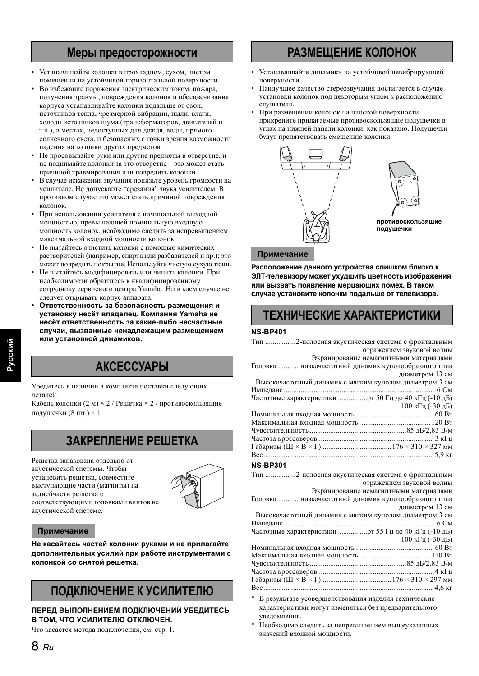## **Меры предосторожности**

- Устанавливайте колонки в прохладном, сухом, чистом помещении на устойчивой горизонтальной поверхности.
- Во избежание поражения электрическим током, пожара, получения травмы, повреждения колонок и обесцвечивания корпуса устанавливайте колонки подальше от окон, источников тепла, чрезмерной вибрации, пыли, влаги, холоди источников шума (трансформаторов, двигателей и т.п.), в местах, недоступных для дождя, воды, прямого солнечного света, и безопасных с точки зрения возможности падения на колонки других предметов.
- Не просовывайте руки или другие предметы в отверстие, и не поднимайте колонки за это отверстие – это может стать причиной травмирования или повредить колонки.
- В случае искажения звучания понизьте уровень громкости на усилителе. Не допускайте "срезания" звука усилителем. В противном случае это может стать причиной повреждения колонок.
- При использовании усилителя с номинальной выходной мощностью, превышающей номинальную входную мощность колонок, необходимо следить за непревышением максимальной входной мощности колонок.
- Не пытайтесь очистить колонки с помощью химических растворителей (например, спирта или разбавителей и пр.); это может повредить покрытие. Используйте чистую сухую ткань.
- Не пытайтесь модифицировать или чинить колонки. При необходимости обратитесь к квалифицированному сотруднику сервисного центра Yamaha. Ни в коем случае не следует открывать корпус аппарата.
- **• Ответственность за безопасность размещения и установку несёт владелец. Компания Yamaha не несёт ответственность за какие-либо несчастные случаи, вызванные ненадлежащим размещением или установкой динамиков.**

## **АКСЕССУАРЫ**

Убедитесь в наличии в комплекте поставки следующих деталей.

Кабель колонки (2 м) × 2 / Решетка × 2 / противоскользящие подушечки (8 шт.) × 1

## **ЗАКРЕПЛЕНИЕ РЕШЕТКА**

Решетка запакована отдельно от акустической системы. Чтобы установить решетка, совместите выступающие части (магниты) на заднейчасти решетка с соответствующими головками винтов на акустической системе.



#### **Примечание**

**Не касайтесь частей колонки руками и не прилагайте дополнительных усилий при работе инструментами с колонкой со снятой решетка.**

## **ПОДКЛЮЧЕНИЕ К УСИЛИТЕЛЮ**

#### **ПЕРЕД ВЫПОЛНЕНИЕМ ПОДКЛЮЧЕНИЙ УБЕДИТЕСЬ В ТОМ, ЧТО УСИЛИТЕЛЮ ОТКЛЮЧЕН.**

Что касается метода подключения, см. стр. 1.

## **РАЗМЕЩЕНИЕ КОЛОНОК**

- Устанавливайте динамики на устойчивой невибрирующей поверхности.
- Наилучшее качество стереозвучания достигается в случае установки колонок под некоторым углом к расположению слушателя.
- При размещении колонок на плоской поверхности прикрепите прилагаемые противоскользящие подушечки в углах на нижней панели колонки, как показано. Подушечки будут препятствовать смещению колонки.



**противоскользящие подушечки**

#### **Примечание**

**Расположение данного устройства слишком близко к ЭЛТ-телевизору может ухудшить цветность изображения или вызвать появление мерцающих помех. В таком случае установите колонки подальше от телевизора.**

## **ТЕХНИЧЕСКИЕ ХАРАКТЕРИСТИКИ**

#### **NS-BP401**

| Тип  2-полосная акустическая система с фронтальным      |                           |
|---------------------------------------------------------|---------------------------|
|                                                         | отражением звуковой волны |
| Экранирование немагнитными материалами                  |                           |
| Головка низкочастотный динамик куполообразного типа     |                           |
|                                                         | диаметром 13 см           |
| Высокочастотный динамик с мягким куполом диаметром 3 см |                           |
|                                                         |                           |
| Частотные характеристики  от 50 Гц до 40 кГц (-10 дБ)   |                           |
|                                                         | 100 кГц (-30 дБ)          |
|                                                         |                           |
|                                                         |                           |
|                                                         |                           |
|                                                         |                           |
|                                                         |                           |
|                                                         |                           |
| <b>NS-RP301</b>                                         |                           |

#### **NS-BP301**

| Тип  2-полосная акустическая система с фронтальным      |
|---------------------------------------------------------|
| отражением звуковой волны                               |
| Экранирование немагнитными материалами                  |
| Головка низкочастотный динамик куполообразного типа     |
| диаметром 13 см                                         |
| Высокочастотный динамик с мягким куполом диаметром 3 см |
|                                                         |
|                                                         |
| 100 кГц (-30 дБ)                                        |
|                                                         |
|                                                         |
|                                                         |
|                                                         |
|                                                         |
|                                                         |
|                                                         |

В результате усовершенствования изделия технические характеристики могут изменяться без предварительного уведомления.

Необходимо следить за непревышением вышеуказанных значений входной мощности.

**Русский**